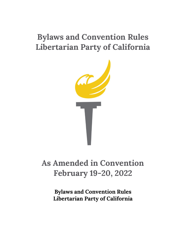# **Bylaws and Convention Rules Libertarian Party of California**



# **As Amended in Convention February 19-20, 2022**

**Bylaws and Convention Rules Libertarian Party of California**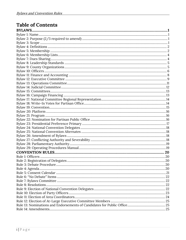# **Table of Contents**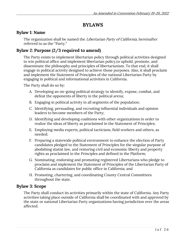## **BYLAWS**

## **Bylaw 1: Name**

The organization shall be named the Libertarian Party of California, hereinafter referred to as the "Party."

## **Bylaw 2: Purpose (2/3 required to amend)**

The Party exists to implement libertarian policy through political activities designed to win political office and implement libertarian policy,to uphold, promote, and disseminate the philosophy and principles of libertarianism. To that end, it shall engage in political activity designed to achieve those purposes. Also, it shall proclaim and implement the Statement of Principles of the national Libertarian Party by engaging in political and informational activities in California.

The Party shall do so by:

- A. Developing an on-going political strategy to identify, expose, combat, and defeat the opponents of liberty in the political arena;
- B. Engaging in political activity in all segments of the population;
- C. Identifying, persuading, and recruiting influential individuals and opinion leaders to become members of the Party;
- D. Identifying and developing coalitions with other organizations in order to realize the ideas of liberty as proclaimed in the Statement of Principles;
- E. Employing media experts, political tacticians, field workers and others, as needed;
- F. Preparing a statewide political environment to enhance the election of Party candidates pledged to the Statement of Principles for the singular purpose of abolishing statist law, and restoring civil and economic liberty and property rights as proclaimed in the Principles and defined in the Platform;
- G. Nominating, endorsing and promoting registered Libertarians who pledge to proclaim and implement the Statement of Principles of the Libertarian Party of California as candidates for public office in California; and
- H. Promoting, chartering, and coordinating County Central Committees throughout the state.

## **Bylaw 3: Scope**

The Party shall conduct its activities primarily within the state of California. Any Party activities taking place outside of California shall be coordinated with and approved by the state or national Libertarian Party organizations having jurisdiction over the areas affected.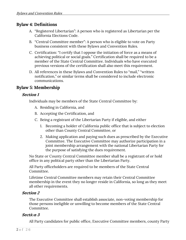## **Bylaw 4: Definitions**

- A. "Registered Libertarian": A person who is registered as Libertarian per the California Elections Code.
- B. "Central Committee member": A person who is eligible to vote on Party business consistent with these Bylaws and Convention Rules.
- C. Certification: "I certify that I oppose the initiation of force as a means of achieving political or social goals." Certification shall be required to be a member of the State Central Committee. Individuals who have executed previous versions of the certification shall also meet this requirement.
- D. All references in these Bylaws and Convention Rules to "mail," "written notification," or similar terms shall be considered to include electronic communications.

## **Bylaw 5: Membership**

#### **Section 1**

Individuals may be members of the State Central Committee by:

- A. Residing in California, and
- B. Accepting the Certification, and
- C. Being a registrant of the Libertarian Party if eligible, and either
	- 1. Becoming a holder of California public office that is subject to election other than County Central Committee, or
	- 2. Making application and paying such dues as prescribed by the Executive Committee. The Executive Committee may authorize participation in a joint membership arrangement with the national Libertarian Party for the purpose of satisfying the dues requirement.

No State or County Central Committee member shall be a registrant of or hold office in any political party other than the Libertarian Party.

All Party officeholders are required to be members of the State Central Committee.

Lifetime Central Committee members may retain their Central Committee membership in the event they no longer reside in California, so long as they meet all other requirements.

#### **Section 2**

The Executive Committee shall establish associate, non-voting membership for those persons ineligible or unwilling to become members of the State Central Committee.

#### **Secti**o**n 3**

All Party candidates for public office, Executive Committee members, county Party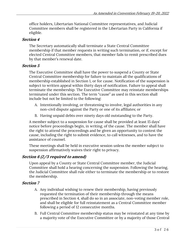office holders, Libertarian National Committee representatives, and Judicial Committee members shall be registered in the Libertarian Party in California if eligible.

## **Section 4**

The Secretary automatically shall terminate a State Central Committee membership if that member requests in writing such termination, or if, except for elected Central Committee members, that member fails to remit prescribed dues by that member's renewal date.

#### **Section 5**

The Executive Committee shall have the power to suspend a County or State Central Committee membership for failure to maintain all the qualifications of membership established in Section 1, or for cause. Notification of the suspension is subject to written appeal within thirty days of notification. Failure to appeal shall terminate the membership. The Executive Committee may reinstate memberships terminated under this section. The term "cause" as used in this section shall include but not be limited to the following:

- A. Intentionally involving, or threatening to involve, legal authorities in any non-civil dispute against the Party or one of its affiliates; or
- B. Having unpaid debts over ninety days old outstanding to the Party.

A member subject to a suspension for cause shall be provided at least 15 days' notice before proceedings begin, in writing, of the cause. The member shall have the right to attend the proceedings and be given an opportunity to contest the cause, including the right to submit evidence, to call witnesses, and to have the assistance of counsel.

These meetings shall be held in executive session unless the member subject to suspension affirmatively waives their right to privacy.

## **Section 6 (2/3 required to amend)**

Upon appeal by a County or State Central Committee member, the Judicial Committee shall hold a hearing concerning the suspension. Following the hearing, the Judicial Committee shall rule either to terminate the membership or to restore the membership.

#### **Section 7**

- A. Any individual wishing to renew their membership, having previously requested the termination of their membership through the means prescribed in Section 4, shall do so in an associate, non-voting member role, and shall be eligible for full reinstatement as a Central Committee member following a period of 12 consecutive months.
- B. Full Central Committee membership status may be reinstated at any time by a majority vote of the Executive Committee or by a majority of those Central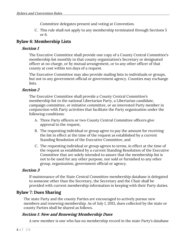Committee delegates present and voting at Convention.

C. This rule shall not apply to any membership terminated through Sections 5 or 6.

## **Bylaw 6: Membership Lists**

## **Section 1**

The Executive Committee shall provide one copy of a County Central Committee's membership list monthly to that county organization's Secretary or designated officer at no charge, or by mutual arrangement, or to any other officer of that county at cost within ten days of a request.

The Executive Committee may also provide mailing lists to individuals or groups, but not to any government official or government agency. Counties may exchange lists.

## **Section 2**

The Executive Committee shall provide a County Central Committee's membership list to the national Libertarian Party, a Libertarian candidate, campaign committee, or initiative committee, or an interested Party member in conjunction with Party activities that facilitate the Party organization under the following conditions:

- A. Three Party officers or two County Central Committee officers give approval to the request,
- B. The requesting individual or group agree to pay the amount for receiving the list in effect at the time of the request as established by a current Standing Resolution of the Executive Committee, and
- C. The requesting individual or group agrees to terms, in effect at the time of the request as established by a current Standing Resolution of the Executive Committee that are solely intended to assure that the membership list is not to be used for any other purpose, nor sold or furnished to any other group, organization, government official or agency.

## **Section 3**

If maintenance of the State Central Committee membership database is delegated to someone other than the Secretary, the Secretary and the Chair shall be provided with current membership information in keeping with their Party duties.

## **Bylaw 7: Dues Sharing**

The state Party and the county Parties are encouraged to actively pursue new members and renewing membership. As of July 1, 2013, dues collected by the state or county Parties shall be shared as follows.

## **Section 1: New and Renewing Membership Dues**

A new member is one who has no membership record in the state Party's database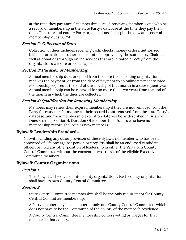at the time they pay annual membership dues. A renewing member is one who has a record of membership in the state Party's database at the time they pay their dues. The state and county Party organizations shall split the new and renewal membership dues 50/50.

#### **Section 2: Collection of Dues**

Collection of dues includes receiving cash, checks, money orders, authorized billing information, or other consideration approved by the state Party Chair, as well as donations through online services that are initiated directly from the organization's website or e-mail appeal.

#### **Section 3: Duration of Membership**

Annual membership dues are good from the date the collecting organization receives the payment, or from the date of payment to an online payment service. Membership expires at the end of the last day of that month in a subsequent year. Annual membership can be renewed for no more than two years from the end of the month in which the dues are collected.

## **Section 4: Qualification for Renewing Membership**

Members may renew their expired membership if they are not removed from the Party for cause, or for as long as their record is not removed from the state Party's database, and their membership expiration date will be as described in Bylaw 7: Dues Sharing, Section 4: Duration Of Membership. Donors who have no membership record shall join as new members.

## **Bylaw 8: Leadership Standards**

Notwithstanding any other provision of these Bylaws, no member who has been convicted of a felony against person or property shall be an endorsed candidate, officer, or hold any other position of leadership in either the Party or a County Central Committee without the consent of two-thirds of the eligible Executive Committee members.

## **Bylaw 9: County Organizations**

#### **Section 1**

The Party shall be divided into county organizations. Each county organization shall have its own County Central Committee.

#### **Section 2**

State Central Committee membership shall be the only requirement for County Central Committee membership.

A Party member may be a member of only one County Central Committee, which does not have to be the Committee of the county of the member's residence.

A County Central Committee membership confers voting privileges for that member in that county.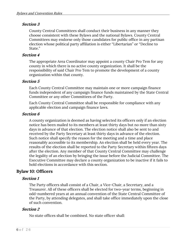County Central Committees shall conduct their business in any manner they choose consistent with these Bylaws and the national Bylaws. County Central Committees may endorse only those candidates for public office in any partisan election whose political party affiliation is either "Libertarian" or "Decline to State."

#### **Section 4**

The appropriate Area Coordinator may appoint a county Chair Pro Tem for any county in which there is no active county organization. It shall be the responsibility of said Chair Pro Tem to promote the development of a county organization within that county.

#### **Section 5**

Each County Central Committee may maintain one or more campaign finance funds independent of any campaign finance funds maintained by the State Central Committee or any other Committees of the Party.

Each County Central Committee shall be responsible for compliance with any applicable election and campaign finance laws.

#### **Section 6**

A county organization is deemed as having selected its officers only if an election notice has been mailed to its members at least thirty days but no more than sixty days in advance of that election. The election notice shall also be sent to and received by the Party Secretary at least thirty days in advance of the election. Such notice shall specify the reason for the meeting and a time and place reasonably accessible to its membership. An election shall be held every year. The results of the election shall be reported to the Party Secretary within fifteen days after the election. Any member of that County Central Committee may challenge the legality of an election by bringing the issue before the Judicial Committee. The Executive Committee may declare a county organization to be inactive if it fails to hold elections in accordance with this section.

## **Bylaw 10: Officers**

#### **Section 1**

The Party officers shall consist of a Chair, a Vice-Chair, a Secretary, and a Treasurer. All of these officers shall be elected for two-year terms, beginning in odd-numbered years at an annual convention of the State Central Committee of the Party, by attending delegates, and shall take office immediately upon the close of such convention.

#### **Section 2**

No state offices shall be combined. No state officer shall: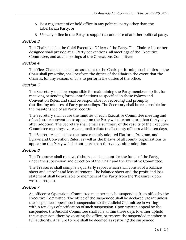- A. Be a registrant of or hold office in any political party other than the Libertarian Party, or
- B. Use any office in the Party to support a candidate of another political party.

The Chair shall be the Chief Executive Officer of the Party. The Chair or his or her designee shall preside at all Party conventions, all meetings of the Executive Committee, and at all meetings of the Operations Committee.

#### **Section 4**

The Vice-Chair shall act as an assistant to the Chair, performing such duties as the Chair shall prescribe, shall perform the duties of the Chair in the event that the Chair is, for any reason, unable to perform the duties of the office.

## **Section 5**

The Secretary shall be responsible for maintaining the Party membership list, for receiving or sending formal notifications as specified in these Bylaws and Convention Rules, and shall be responsible for recording and promptly distributing minutes of Party proceedings. The Secretary shall be responsible for the maintenance of all Party records.

The Secretary shall cause the minutes of each Executive Committee meeting and of each state convention to appear on the Party website not more than thirty days after adoption. The Secretary shall email a summary of the results of the Executive Committee meetings, votes, and mail ballots to all county officers within ten days.

The Secretary shall cause the most recently adopted Platform, Program, and Bylaws and Convention Rules, as well as the Bylaws of all county organizations to appear on the Party website not more than thirty days after adoption.

#### **Section 6**

The Treasurer shall receive, disburse, and account for the funds of the Party, under the supervision and direction of the Chair and the Executive Committee.

The Treasurer shall compile a quarterly report which shall consist of a balance sheet and a profit and loss statement. The balance sheet and the profit and loss statement shall be available to members of the Party from the Treasurer upon written request.

## **Section 7**

An officer or Operations Committee member may be suspended from office by the Executive Committee. The office of the suspendee shall be declared vacant unless the suspendee appeals such suspension to the Judicial Committee in writing within ten days of notification of such suspension. Upon written appeal by the suspendee, the Judicial Committee shall rule within three days to either uphold the suspension, thereby vacating the office, or restore the suspended member to full authority. A failure to rule shall be deemed as restoring the suspended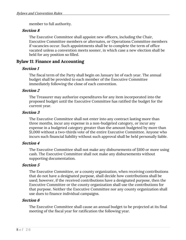member to full authority.

#### **Section 8**

The Executive Committee shall appoint new officers, including the Chair, Executive Committee members or alternates, or Operations Committee members if vacancies occur. Such appointments shall be to complete the term of office vacated unless a convention meets sooner, in which case a new election shall be held for any position so filled.

## **Bylaw 11: Finance and Accounting**

#### **Section 1**

The fiscal term of the Party shall begin on January 1st of each year. The annual budget shall be provided to each member of the Executive Committee immediately following the close of each convention.

#### **Section 2**

The Treasurer may authorize expenditures for any item incorporated into the proposed budget until the Executive Committee has ratified the budget for the current year.

#### **Section 3**

The Executive Committee shall not enter into any contract lasting more than three months, incur any expense in a non-budgeted category, or incur any expense in a budgeted category greater than the amount budgeted by more than \$1,000 without a two-thirds vote of the entire Executive Committee. Anyone who incurs such financial liability without such approval shall be held personally liable.

#### **Section 4**

The Executive Committee shall not make any disbursements of \$100 or more using cash. The Executive Committee shall not make any disbursements without supporting documentation.

#### **Section 5**

The Executive Committee, or a county organization, when receiving contributions that do not have a designated purpose, shall decide how contributions shall be used; however, if the received contributions have a designated purpose, then the Executive Committee or the county organization shall use the contributions for that purpose. Neither the Executive Committee nor any county organization shall use dues to finance individual campaigns.

#### **Section 6**

The Executive Committee shall cause an annual budget to be projected at its final meeting of the fiscal year for ratification the following year.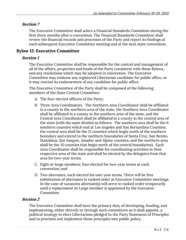The Executive Committee shall select a Financial Standards Committee during the first three months after a convention. The Financial Standards Committee shall review the financial records and processes of the Party and report its findings at each subsequent Executive Committee meeting and at the next state convention.

## **Bylaw 12: Executive Committee**

#### **Section 1**

The Executive Committee shall be responsible for the control and management of all of the affairs, properties and funds of the Party consistent with these Bylaws, and any resolutions which may be adopted in convention. The Executive Committee may endorse any registered Libertarian candidate for public office, or it may rescind its endorsement of any candidate for public office.

The Executive Committee of the Party shall be composed of the following members of the State Central Committee:

- A. The four elected officers of the Party;
- B. Three Area Coordinators. The Northern Area Coordinator shall be affiliated in a county in the northern area of the state, the Southern Area Coordinator shall be affiliated in a county in the southern area of the state, and the Central Area Coordinator shall be affiliated in a county in the central area of the state (with the state divided as follows: The southern area shall be the 6 southern counties which end at Los Angeles and San Bernardino Counties; the central area shall be the 21 counties which begin north of the southern boundary and extend to the northern boundaries of Santa Cruz, San Benito, Stanislaus, San Joaquin, Amador and Alpine counties; and the northern area shall be the 31 counties that begin north of the central boundaries). Each Area Coordinator shall be responsible for coordinating activities in their respective area of the state and shall be elected by the delegates from that area for two-year terms.
- C. Eight at-large members, four elected for two-year terms at each convention; and
- D. Two alternates, each elected for one-year terms. There will be free substitution of alternates in ranked order at Executive Committee meetings. In the case of vacancies alternate(s) will serve in ranked order temporarily until a replacement At Large member is appointed by the Executive Committee.

#### **Section 2**

The Executive Committee shall have the primary duty of developing, funding, and implementing, either directly or through such committees as it shall appoint, a political strategy to elect Libertarians pledged to the Party Statement of Principles and to proclaim and implement those principles into public policy.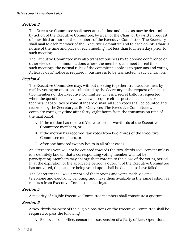The Executive Committee shall meet at such time and place as may be determined by action of the Executive Committee, by a call of the Chair, or by written request of one-third or more of the members of the Executive Committee. The Secretary shall mail to each member of the Executive Committee and to each county Chair, a notice of the time and place of each meeting, not less than fourteen days prior to such meeting.

The Executive Committee may also transact business by telephone conference or other electronic communications where the members can meet in real time. In such meetings, the normal rules of the committee apply as to quorums and voting. At least 7 days' notice is required if business is to be transacted in such a fashion.

#### **Section 4**

The Executive Committee may, without meeting together, transact business by mail by voting on questions submitted by the Secretary at the request of at least two members of the Executive Committee. Unless a secret ballot is requested when the question is moved, which will require either postal mail ballots or technical capabilities beyond standard e-mail, all such votes shall be counted and recorded by the Secretary as Roll Call votes. The Executive Committee will complete voting any time after forty-eight hours from the transmission time of the mail ballot:

- A. If the motion has received Yea votes from two-thirds of the Executive Committee members, or
- B. If the motion has received Nay votes from two-thirds of the Executive Committee members, or
- C. After one hundred twenty hours in all other cases.

An alternate's vote will not be counted towards the two-thirds requirement unless it is definitely known that a corresponding voting member will not be participating. Members may change their vote up to the close of the voting period. If, at the expiration of the applicable period, a quorum of the Executive Committee has not voted, the measure being voted upon shall be deemed to have failed.

The Secretary shall keep a record of the motions and votes made via email, telephone and electronic balloting, and make them available in the same fashion as minutes from Executive Committee meetings.

#### **Section 5**

A majority of eligible Executive Committee members shall constitute a quorum.

#### **Section 6**

A two-thirds majority of the eligible positions on the Executive Committee shall be required to pass the following:

A. Removal from office, censure, or suspension of a Party officer, Operations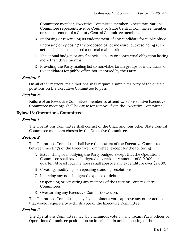Committee member, Executive Committee member, Libertarian National Committee representative, or County or State Central Committee member, or reinstatement of a County Central Committee member.

- B. Endorsing or rescinding its endorsement of any candidate for public office.
- C. Endorsing or opposing any proposed ballot measure, but rescinding such action shall be considered a normal main motion.
- D. The annual budget, or any financial liability or contractual obligation lasting more than three months.
- E. Providing the Party mailing list to non-Libertarian groups or individuals, or to candidates for public office not endorsed by the Party.

#### **Section 7**

On all other matters, main motions shall require a simple majority of the eligible positions on the Executive Committee to pass.

#### **Section 8**

Failure of an Executive Committee member to attend two consecutive Executive Committee meetings shall be cause for removal from the Executive Committee.

## **Bylaw 13: Operations Committee**

#### **Section 1**

The Operations Committee shall consist of the Chair and four other State Central Committee members chosen by the Executive Committee.

#### **Section 2**

The Operations Committee shall have the powers of the Executive Committee between meetings of the Executive Committee, except for the following:

- A. Establishing or modifying the Party budget, except that the Operations Committee shall have a budgeted discretionary amount of \$10,000 per quarter. At least four members shall approve any expenditure over \$2,000.
- B. Creating, modifying, or repealing standing resolutions.
- C. Incurring any non-budgeted expense or debt.
- D. Suspending or censuring any member of the State or County Central Committees.
- E. Overturning any Executive Committee action.

The Operations Committee, may, by unanimous vote, approve any other action that would require a two-thirds vote of the Executive Committee.

#### **Section 3**

The Operations Committee may, by unanimous vote, fill any vacant Party officer or Operations Committee position on an interim basis until a meeting of the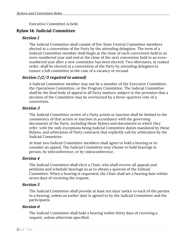Executive Committee is held.

## **Bylaw 14: Judicial Committee**

## **Section 1**

The Judicial Committee shall consist of five State Central Committee members elected at a convention of the Party by the attending delegates. The term of a Judicial Committee member shall begin at the close of each convention held in an even-numbered year and end at the close of the next convention held in an evennumbered year after a new committee has been elected. Two Alternates, in ranked order, shall be elected at a convention of the Party by attending delegates to ensure a full committee in the case of a vacancy or recusal.

## **Section 2 (2/3 required to amend)**

A Judicial Committee member may not be a member of the Executive Committee, the Operations Committee, or the Program Committee. The Judicial Committee shall be the final body of appeal in all Party matters, subject to the provision that a decision of the Committee may be overturned by a three-quarters vote of a convention.

#### **Section 3**

The Judicial Committee review of a Party action or inaction shall be limited to the consistency of that action or inaction in accordance with the governing documents of the Party, including these Bylaws and documents to which they refer, with the only exceptions being Judicial Committee duties mandated by these Bylaws, and arbitration of Party contracts that explicitly call for arbitration by the Judicial Committee.

At least two Judicial Committee members shall agree to hold a hearing or to consider an appeal. The Judicial Committee may choose to hold hearings in person, by teleconference, or by videoconference.

#### **Section 4**

The Judicial Committee shall elect a Chair, who shall receive all appeals and petitions and schedule hearings so as to obtain a quorum of the Judicial Committee. When a hearing is requested, the Chair shall set a hearing date within seven days of receiving the request.

## **Section 5**

The Judicial Committee shall provide at least ten days' notice to each of the parties to a hearing, unless an earlier date is agreed to by the Judicial Committee and the participants.

## **Section 6**

The Judicial Committee shall hold a hearing within thirty days of receiving a request, unless otherwise specified.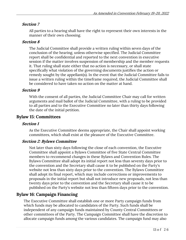All parties to a hearing shall have the right to represent their own interests in the manner of their own choosing.

## **Section 8**

The Judicial Committee shall provide a written ruling within seven days of the conclusion of the hearing, unless otherwise specified. The Judicial Committee report shall be confidential and reported to the next convention in executive session if the matter involves suspension of membership and the member requests it. That ruling shall state either that no action is necessary, or shall state specifically what violation of the governing documents justifies the action or remedy sought by the appellant(s). In the event that the Judicial Committee fails to issue a written ruling within the timeframe required, the Judicial Committee shall be considered to have taken no action on the matter at hand.

## **Section 9**

With the consent of all parties, the Judicial Committee Chair may call for written arguments and mail ballot of the Judicial Committee, with a ruling to be provided to all parties and to the Executive Committee no later than thirty days following the date of the initial petition.

## **Bylaw 15: Committees**

#### **Section 1**

As the Executive Committee deems appropriate, the Chair shall appoint working committees, which shall exist at the pleasure of the Executive Committee.

#### **Section 2: Bylaws Committee**

Not later than sixty days following the close of each convention, the Executive Committee shall appoint a Bylaws Committee of five State Central Committee members to recommend changes in these Bylaws and Convention Rules. The Bylaws Committee shall adopt its initial report not less than seventy days prior to the convention and the Secretary shall cause it to be published on the Party's website not less than sixty days prior to the convention. The Bylaws Committee shall adopt its final report, which may include corrections or improvements to proposals in the initial report but shall not introduce new proposals, not less than twenty days prior to the convention and the Secretary shall cause it to be published on the Party's website not less than fifteen days prior to the convention.

## **Bylaw 16: Campaign Financing**

The Executive Committee shall establish one or more Party campaign funds from which funds may be allocated to candidates of the Party. Such funds shall be independent of any campaign funds maintained by County Central Committees or other committees of the Party. The Campaign Committee shall have the discretion to allocate campaign funds among the various candidates. The campaign fund may also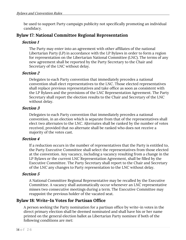be used to support Party campaign publicity not specifically promoting an individual candidacy.

## **Bylaw 17: National Committee Regional Representation**

## **Section 1**

The Party may enter into an agreement with other affiliates of the national Libertarian Party (LP) in accordance with the LP Bylaws in order to form a region for representation on the Libertarian National Committee (LNC). The terms of any new agreement shall be reported by the Party Secretary to the Chair and Secretary of the LNC without delay.

## **Section 2**

Delegates to each Party convention that immediately precedes a national convention shall elect representatives to the LNC. Those elected representatives shall replace previous representatives and take office as soon as consistent with the LP Bylaws and the provisions of the LNC Representation Agreement. The Party Secretary shall report the election results to the Chair and Secretary of the LNC without delay.

## **Section 3**

Delegates to each Party convention that immediately precedes a national convention, in an election which is separate from that of the representatives shall elect two alternates to the LNC. Alternates shall be ranked by the number of votes received, provided that no alternate shall be ranked who does not receive a majority of the votes cast.

## **Section 4**

If a reduction occurs in the number of representatives that the Party is entitled to, the Party Executive Committee shall select the representatives from those elected at the convention. Any vacancy, including a vacancy resulting from a change in the LP Bylaws or the current LNC Representation Agreement, shall be filled by the Executive Committee. The Party Secretary shall report to the Chair and Secretary of the LNC any changes to Party representation to the LNC without delay.

## **Section 5**

A National Committee Regional Representative may be recalled by the Executive Committee. A vacancy shall automatically occur whenever an LNC representative misses two consecutive meetings during a term. The Executive Committee may reappoint the previous holder of the vacated seat.

## **Bylaw 18: Write-In Votes for Partisan Office**

A person seeking the Party nomination for a partisan office by write-in votes in the direct primary election shall be deemed nominated and shall have his or her name printed on the general election ballot as Libertarian Party nominee if both of the following conditions are met: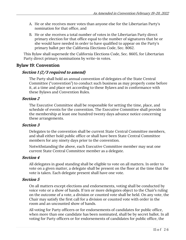- A. He or she receives more votes than anyone else for the Libertarian Party's nomination for that office, and
- B. He or she receives a total number of votes in the Libertarian Party direct primary election for that office equal to the number of signatures that he or she would have needed in order to have qualified to appear on the Party's primary ballot per the California Elections Code, Sec. 8062.

This Bylaw shall supersede the California Elections Code, Sec. 8605, for Libertarian Party direct primary nominations by write-in votes.

## **Bylaw 19: Convention**

## **Section 1 (2/3 required to amend)**

The Party shall hold an annual convention of delegates of the State Central Committee ("convention") to conduct such business as may properly come before it, at a time and place set according to these Bylaws and in conformance with these Bylaws and Convention Rules.

#### **Section 2**

The Executive Committee shall be responsible for setting the time, place, and schedule of events for the convention. The Executive Committee shall provide to the membership at least one hundred twenty days advance notice concerning these arrangements.

#### **Section 3**

Delegates to the convention shall be current State Central Committee members, and shall either hold public office or shall have been State Central Committee members for any ninety days prior to the convention.

Notwithstanding the above, each Executive Committee member may seat one current State Central Committee member as a delegate.

#### **Section 4**

All delegates in good standing shall be eligible to vote on all matters. In order to vote on a given matter, a delegate shall be present on the floor at the time that the vote is taken. Each delegate present shall have one vote.

#### **Section 5**

On all matters except elections and endorsements, voting shall be conducted by voice vote or a show of hands. If ten or more delegates object to the Chair's ruling on the outcome of a vote, a division or counted vote shall be held. On any vote, the Chair may satisfy the first call for a division or counted vote with order in the room and an uncounted show of hands.

All voting for Party officers or for endorsements of candidates for public office, when more than one candidate has been nominated, shall be by secret ballot. In all voting for Party officers or for endorsements of candidates for public office, the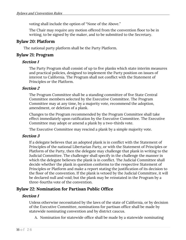voting shall include the option of "None of the Above."

The Chair may require any motion offered from the convention floor to be in writing, to be signed by the maker, and to be submitted to the Secretary.

## **Bylaw 20: Platform**

The national party platform shall be the Party Platform.

## **Bylaw 21: Program**

## **Section 1**

The Party Program shall consist of up to five planks which state interim measures and practical policies, designed to implement the Party position on issues of interest to California. The Program shall not conflict with the Statement of Principles or the Platform.

## **Section 2**

The Program Committee shall be a standing committee of five State Central Committee members selected by the Executive Committee. The Program Committee may at any time, by a majority vote, recommend the adoption, amendment, or deletion of a plank.

Changes to the Program recommended by the Program Committee shall take effect immediately upon ratification by the Executive Committee. The Executive Committee may adopt or amend a plank by a two-thirds vote.

The Executive Committee may rescind a plank by a simple majority vote.

#### **Section 3**

If a delegate believes that an adopted plank is in conflict with the Statement of Principles of the national Libertarian Party, or with the Statement of Principles or Platform of the Party, then the delegate may challenge that plank in writing to the Judicial Committee. The challenger shall specify in the challenge the manner in which the delegate believes the plank is in conflict. The Judicial Committee shall decide whether the plank in question conforms to the respective Statement of Principles or Platform and make a report stating the justification of its decision to the floor of the convention. If the plank is vetoed by the Judicial Committee, it will be declared null and void; but the plank may be reinstated in the Program by a three-fourths vote of the convention.

## **Bylaw 22: Nomination for Partisan Public Office**

## **Section 1**

Unless otherwise necessitated by the laws of the state of California, or by decision of the Executive Committee, nominations for partisan office shall be made by statewide nominating convention and by district caucus.

A. Nomination for statewide office shall be made by a statewide nominating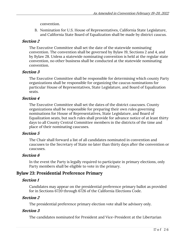convention.

B. Nomination for U.S. House of Representatives, California State Legislature, and California State Board of Equalization shall be made by district caucus.

## **Section 2**

The Executive Committee shall set the date of the statewide nominating convention. The convention shall be governed by Bylaw 19, Sections 2 and 4, and by Bylaw 28. Unless a statewide nominating convention is held at the regular state convention, no other business shall be conducted at the statewide nominating convention.

## **Section 3**

The Executive Committee shall be responsible for determining which county Party organizations shall be responsible for organizing the caucus nominations for particular House of Representatives, State Legislature, and Board of Equalization seats.

## **Section 4**

The Executive Committee shall set the dates of the district caucuses. County organizations shall be responsible for preparing their own rules governing nominations for House of Representatives, State Legislature, and Board of Equalization seats, but such rules shall provide for advance notice of at least thirty days to all County Central Committee members in the districts of the time and place of their nominating caucuses.

#### **Section 5**

The Chair shall forward a list of all candidates nominated in convention and caucuses to the Secretary of State no later than thirty days after the convention or caucuses.

## **Section 6**

In the event the Party is legally required to participate in primary elections, only Party members shall be eligible to vote in the primary.

## **Bylaw 23: Presidential Preference Primary**

## **Section 1**

Candidates may appear on the presidential preference primary ballot as provided for in Sections 6720 through 6726 of the California Elections Code.

## **Section 2**

The presidential preference primary election vote shall be advisory only.

## **Section 3**

The candidates nominated for President and Vice-President at the Libertarian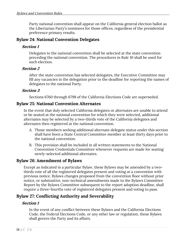Party national convention shall appear on the California general election ballot as the Libertarian Party's nominees for those offices, regardless of the presidential preference primary results.

## **Bylaw 24: National Convention Delegates**

## **Section 1**

Delegates to the national convention shall be selected at the state convention preceding the national convention. The procedures in Rule 10 shall be used for such election.

## **Section 2**

After the state convention has selected delegates, the Executive Committee may fill any vacancies in the delegation prior to the deadline for reporting the names of delegates to the national Party.

## **Section 3**

Sections 6760 through 6798 of the California Elections Code are superseded.

## **Bylaw 25: National Convention Alternates**

In the event that duly selected California delegates or alternates are unable to attend or be seated at the national convention for which they were selected, additional alternates may be selected by a two-thirds vote of the California delegates and alternates then registered at the national convention.

- A. Those members seeking additional alternate delegate status under this section shall have been a State Central Committee member at least thirty days prior to the national convention.
- B. This provision shall be included in all written statements to the National Convention Credentials Committee whenever requests are made for seating newly-selected additional alternates.

## **Bylaw 26: Amendment of Bylaws**

Except as indicated in a particular Bylaw, these Bylaws may be amended by a twothirds vote of all the registered delegates present and voting at a convention with previous notice. Bylaws changes proposed from the convention floor without prior notice, or substantive, non-technical amendments made to the Bylaws Committee Report by the Bylaws Committee subsequent to the report adoption deadline, shall require a three-fourths vote of registered delegates present and voting to pass.

## **Bylaw 27: Conflicting Authority and Severability**

## **Section 1**

In the event of any conflict between these Bylaws and the California Elections Code, the Federal Elections Code, or any other law or regulation, these Bylaws shall govern the Party and its affairs.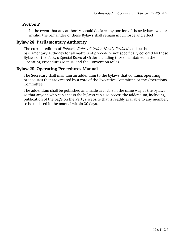In the event that any authority should declare any portion of these Bylaws void or invalid, the remainder of these Bylaws shall remain in full force and effect.

## **Bylaw 28: Parliamentary Authority**

The current edition of *Robert's Rules of Order, Newly Revised* shall be the parliamentary authority for all matters of procedure not specifically covered by these Bylaws or the Party's Special Rules of Order including those maintained in the Operating Procedures Manual and the Convention Rules.

## **Bylaw 29: Operating Procedures Manual**

The Secretary shall maintain an addendum to the bylaws that contains operating procedures that are created by a vote of the Executive Committee or the Operations Committee.

The addendum shall be published and made available in the same way as the bylaws so that anyone who can access the bylaws can also access the addendum, including, publication of the page on the Party's website that is readily available to any member, to be updated in the manual within 30 days.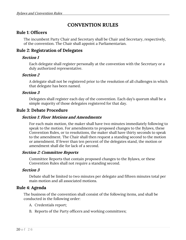## **CONVENTION RULES**

## **Rule 1: Officers**

The incumbent Party Chair and Secretary shall be Chair and Secretary, respectively, of the convention. The Chair shall appoint a Parliamentarian.

## **Rule 2: Registration of Delegates**

#### **Section 1**

Each delegate shall register personally at the convention with the Secretary or a duly authorized representative.

#### **Section 2**

A delegate shall not be registered prior to the resolution of all challenges in which that delegate has been named.

#### **Section 3**

Delegates shall register each day of the convention. Each day's quorum shall be a simple majority of those delegates registered for that day.

## **Rule 3: Debate Procedure**

#### **Section 1: Floor Motions and Amendments**

For each main motion, the maker shall have two minutes immediately following to speak to the motion. For amendments to proposed changes to the Bylaws, these Convention Rules, or to resolutions, the maker shall have thirty seconds to speak to the amendment. The Chair shall then request a standing second to the motion or amendment. If fewer than ten percent of the delegates stand, the motion or amendment shall die for lack of a second.

#### **Section 2: Committee Reports**

Committee Reports that contain proposed changes to the Bylaws, or these Convention Rules shall not require a standing second.

#### **Section 3**

Debate shall be limited to two minutes per delegate and fifteen minutes total per main motion and all associated motions.

#### **Rule 4: Agenda**

The business of the convention shall consist of the following items, and shall be conducted in the following order:

- A. Credentials report;
- B. Reports of the Party officers and working committees;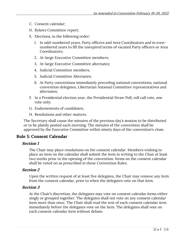- C. Consent calendar;
- D. Bylaws Committee report;
- E. Elections, in the following order:
	- 1. In odd-numbered years, Party officers and Area Coordinators and in evennumbered years to fill the unexpired terms of vacated Party officers or Area Coordinators;
	- 2. At-large Executive Committee members;
	- 3. At-large Executive Committee alternates;
	- 4. Judicial Committee members;
	- 5. Judicial Committee Alternates;
	- 6. At Party conventions immediately preceding national conventions, national convention delegates, Libertarian National Committee representatives and alternates;
- F. In a Presidential election year, the Presidential Straw Poll, roll call vote, one vote only;
- G. Endorsements of candidates;
- H. Resolutions and other matters.

The Secretary shall cause the minutes of the previous day's session to be distributed or to be plainly posted each morning. The minutes of the convention shall be approved by the Executive Committee within ninety days of the convention's close.

## **Rule 5: Consent Calendar**

#### **Section 1**

The Chair may place resolutions on the consent calendar. Members wishing to place an item on the calendar shall submit the item in writing to the Chair at least two weeks prior to the opening of the convention. Items on the consent calendar shall be voted on as prescribed in these Convention Rules.

#### **Section 2**

Upon the written request of at least five delegates, the Chair may remove any item from the consent calendar, prior to when the delegates vote on that item.

#### **Section 3**

At the Chair's discretion, the delegates may vote on consent calendar items either singly or grouped together. The delegates shall not vote on any consent calendar item more than once. The Chair shall read the text of each consent calendar item immediately before the delegates vote on the item. The delegates shall vote on each consent calendar item without debate.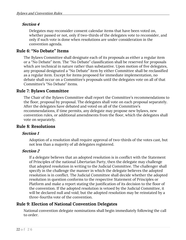Delegates may reconsider consent calendar items that have been voted on, whether passed or not, only if two-thirds of the delegates vote to reconsider, and only if such vote is done when resolutions are under consideration in the convention agenda.

## **Rule 6: "No Debate" Items**

The Bylaws Committee shall designate each of its proposals as either a regular item or a "No Debate" item. The "No Debate" classification shall be reserved for proposals which are technical in nature rather than substantive. Upon motion of five delegates, any proposal designated a "No Debate" item by either Committee shall be reclassified as a regular item. Except for items proposed for immediate implementation, no debate shall occur on a Committee's proposals until the delegates vote on all of that Committee's "No Debate" items.

## **Rule 7: Bylaws Committee**

The Chair of the Bylaws Committee shall report the Committee's recommendations to the floor, proposal by proposal. The delegates shall vote on each proposal separately. After the delegates have debated and voted on all of the Committee's recommendations, if time permits, any delegate may propose new bylaws, new convention rules, or additional amendments from the floor, which the delegates shall vote on separately.

## **Rule 8: Resolutions**

#### **Section 1**

Adoption of a resolution shall require approval of two-thirds of the votes cast, but not less than a majority of all delegates registered.

#### **Section 2**

If a delegate believes that an adopted resolution is in conflict with the Statement of Principles of the national Libertarian Party, then the delegate may challenge that adopted resolution in writing to the Judicial Committee. The challenger shall specify in the challenge the manner in which the delegate believes the adopted resolution is in conflict. The Judicial Committee shall decide whether the adopted resolution in question conforms to the respective Statement of Principles or Platform and make a report stating the justification of its decision to the floor of the convention. If the adopted resolution is vetoed by the Judicial Committee, it will be declared null and void; but the adopted resolution may be reinstated by a three-fourths vote of the convention.

## **Rule 9: Election of National Convention Delegates**

National convention delegate nominations shall begin immediately following the call to order.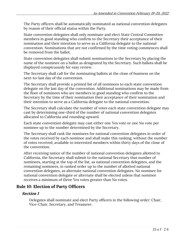The Party officers shall be automatically nominated as national convention delegates by reason of their official status within the Party.

State convention delegates shall only nominate and elect State Central Committee members in good standing who confirm to the Secretary their acceptance of their nomination and their intention to serve as a California delegate to the national convention. Nominations that are not confirmed by the time voting commences shall be removed from the ballot.

State convention delegates shall submit nominations to the Secretary by placing the name of the nominee on a ballot as designated by the Secretary. Such ballots shall be displayed conspicuously for easy review.

The Secretary shall call for the nominating ballots at the close of business on the next-to-last day of the convention.

The Secretary shall provide a printed list of all nominees to each state convention delegate on the last day of the convention. Additional nominations may be made from the floor of nominees who are members in good standing who confirm to the Secretary by the time of their nomination their acceptance of their nomination and their intention to serve as a California delegate to the national convention.

The Secretary shall calculate the number of votes each state convention delegate may cast by determining one-third of the number of national convention delegates allocated to California and rounding upward.

Each state convention delegate may cast either one Yes vote or one No vote per nominee up to the number determined by the Secretary.

The Secretary shall rank the nominees for national convention delegates in order of the votes received by each nominee and shall make this ranking, without the number of votes received, available to interested members within thirty days of the close of the convention.

After receiving notice of the number of national convention delegates allotted to California, the Secretary shall submit to the national Secretary that number of nominees, starting at the top of the list, as national convention delegates, and the remaining nominees, in ranked order up to the number of allotted national convention delegates, as alternate national convention delegates. No nominee for national convention delegate or alternate shall be elected unless that nominee receives a minimum of three Yes votes greater than No votes.

## **Rule 10: Election of Party Officers**

## **Section 1**

Delegates shall nominate and elect Party officers in the following order: Chair, Vice-Chair, Secretary, and Treasurer.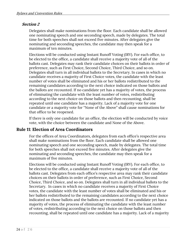Delegates shall make nominations from the floor. Each candidate shall be allowed one nominating speech and one seconding speech, made by delegates. The total time for both speeches shall not exceed five minutes. After delegates give the nominating and seconding speeches, the candidate may then speak for a maximum of ten minutes.

Elections will be conducted using Instant Runoff Voting (IRV). For each office, to be elected to the office, a candidate shall receive a majority vote of all of the ballots cast. Delegates may rank their candidate choices on their ballots in order of preference, such as First Choice, Second Choice, Third Choice, and so on. Delegates shall turn in all individual ballots to the Secretary. In cases in which no candidate receives a majority of First Choice votes, the candidate with the least number of votes shall be eliminated and his or her ballots redistributed to the remaining candidates according to the next choice indicated on those ballots and the ballots are recounted. If no candidate yet has a majority of votes, the process of eliminating the candidate with the least number of votes, redistributing according to the next choice on those ballots and then recounting, shall be repeated until one candidate has a majority. Lack of a majority vote for one candidate or a majority vote for "None of the Above" shall cause nominations for that office to be reopened.

If there is only one candidate for an office, the election will be conducted by voice vote, with the choice between the candidate and None of the Above.

## **Rule 11: Election of Area Coordinators**

For the offices of Area Coordinators, delegates from each office's respective area shall make nominations from the floor. Each candidate shall be allowed one nominating speech and one seconding speech, made by delegates. The total time for both speeches shall not exceed five minutes. After delegates give the nominating and seconding speeches, the candidate may then speak for a maximum of five minutes.

Elections will be conducted using Instant Runoff Voting (IRV). For each office, to be elected to the office, a candidate shall receive a majority vote of all of the ballots cast. Delegates from each office's respective area may rank their candidate choices on their ballots in order of preference, such as First Choice, Second Choice, Third Choice, and so on. Delegates shall turn in all individual ballots to the Secretary. In cases in which no candidate receives a majority of First Choice votes, the candidate with the least number of votes shall be eliminated and his or her ballots redistributed to the remaining candidates according to the next choice indicated on those ballots and the ballots are recounted. If no candidate yet has a majority of votes, the process of eliminating the candidate with the least number of votes, redistributing according to the next choice on those ballots and then recounting, shall be repeated until one candidate has a majority. Lack of a majority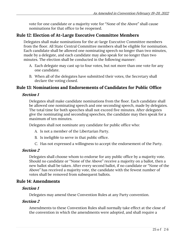vote for one candidate or a majority vote for "None of the Above" shall cause nominations for that office to be reopened.

## **Rule 12: Election of At-Large Executive Committee Members**

Delegates shall make nominations for the at-large Executive Committee members from the floor. All State Central Committee members shall be eligible for nomination. Each candidate shall be allowed one nominating speech no longer than two minutes, made by a delegate, and each candidate may also speak for no longer than two minutes. The election shall be conducted in the following manner:

- A. Each delegate may cast up to four votes, but not more than one vote for any one candidate.
- B. When all of the delegates have submitted their votes, the Secretary shall declare the voting closed.

## **Rule 13: Nominations and Endorsements of Candidates for Public Office**

#### **Section 1**

Delegates shall make candidate nominations from the floor. Each candidate shall be allowed one nominating speech and one seconding speech, made by delegates. The total time for both speeches shall not exceed five minutes. After delegates give the nominating and seconding speeches, the candidate may then speak for a maximum of ten minutes.

Delegates shall not nominate any candidate for public office who:

- A. Is not a member of the Libertarian Party.
- B. Is ineligible to serve in that public office.
- C. Has not expressed a willingness to accept the endorsement of the Party.

#### **Section 2**

Delegates shall choose whom to endorse for any public office by a majority vote. Should no candidate or "None of the Above" receive a majority on a ballot, then a new ballot shall be taken. After every second ballot, if no candidate or "None of the Above" has received a majority vote, the candidate with the fewest number of votes shall be removed from subsequent ballots.

## **Rule 14: Amendments**

#### **Section 1**

Delegates may amend these Convention Rules at any Party convention.

#### **Section 2**

Amendments to these Convention Rules shall normally take effect at the close of the convention in which the amendments were adopted, and shall require a